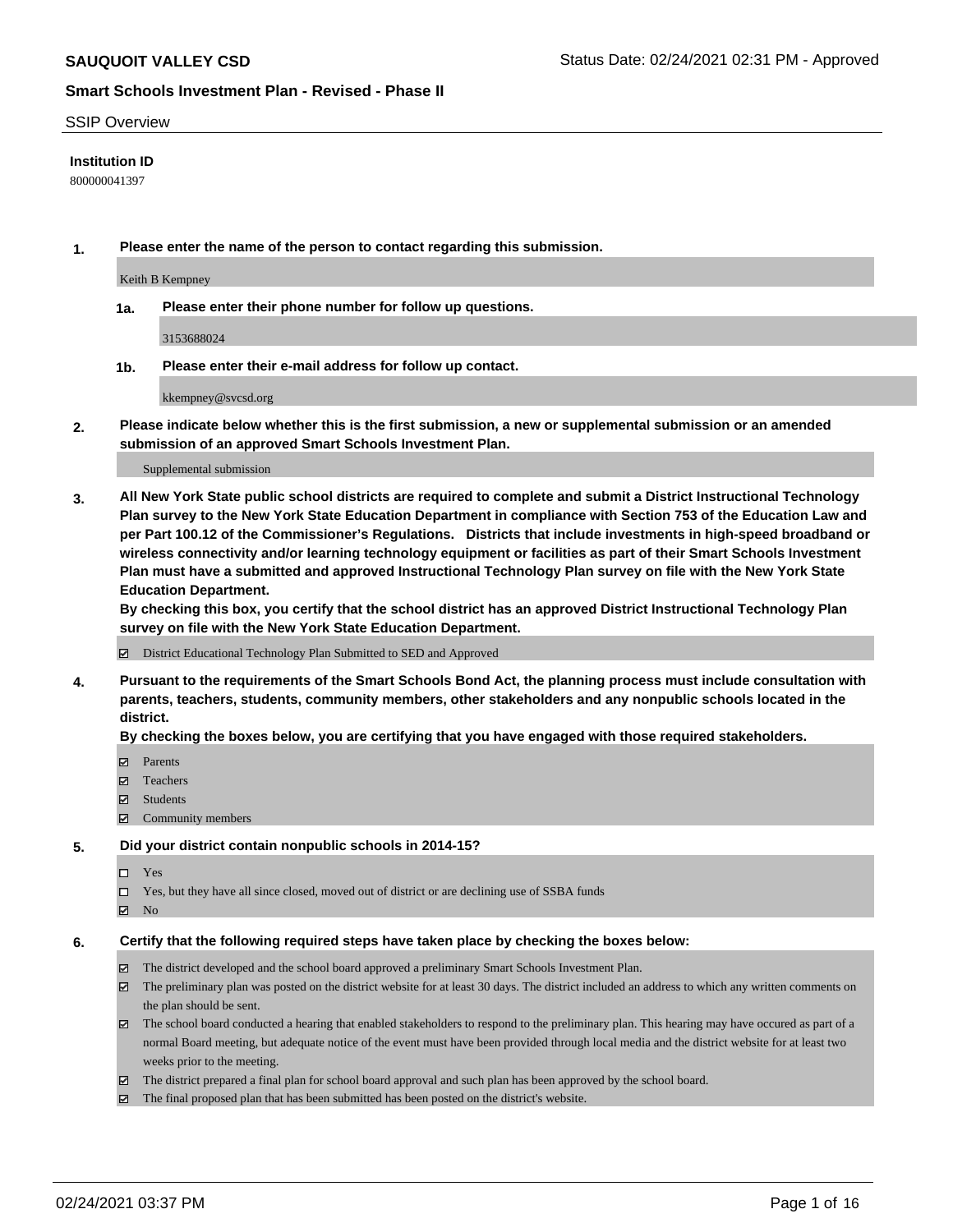#### SSIP Overview

### **Institution ID**

800000041397

**1. Please enter the name of the person to contact regarding this submission.**

Keith B Kempney

**1a. Please enter their phone number for follow up questions.**

3153688024

**1b. Please enter their e-mail address for follow up contact.**

kkempney@svcsd.org

**2. Please indicate below whether this is the first submission, a new or supplemental submission or an amended submission of an approved Smart Schools Investment Plan.**

#### Supplemental submission

**3. All New York State public school districts are required to complete and submit a District Instructional Technology Plan survey to the New York State Education Department in compliance with Section 753 of the Education Law and per Part 100.12 of the Commissioner's Regulations. Districts that include investments in high-speed broadband or wireless connectivity and/or learning technology equipment or facilities as part of their Smart Schools Investment Plan must have a submitted and approved Instructional Technology Plan survey on file with the New York State Education Department.** 

**By checking this box, you certify that the school district has an approved District Instructional Technology Plan survey on file with the New York State Education Department.**

District Educational Technology Plan Submitted to SED and Approved

**4. Pursuant to the requirements of the Smart Schools Bond Act, the planning process must include consultation with parents, teachers, students, community members, other stakeholders and any nonpublic schools located in the district.** 

#### **By checking the boxes below, you are certifying that you have engaged with those required stakeholders.**

- **□** Parents
- Teachers
- Students
- $\Xi$  Community members

#### **5. Did your district contain nonpublic schools in 2014-15?**

- Yes
- □ Yes, but they have all since closed, moved out of district or are declining use of SSBA funds
- **Ø** No

#### **6. Certify that the following required steps have taken place by checking the boxes below:**

- The district developed and the school board approved a preliminary Smart Schools Investment Plan.
- The preliminary plan was posted on the district website for at least 30 days. The district included an address to which any written comments on the plan should be sent.
- The school board conducted a hearing that enabled stakeholders to respond to the preliminary plan. This hearing may have occured as part of a normal Board meeting, but adequate notice of the event must have been provided through local media and the district website for at least two weeks prior to the meeting.
- The district prepared a final plan for school board approval and such plan has been approved by the school board.
- $\boxtimes$  The final proposed plan that has been submitted has been posted on the district's website.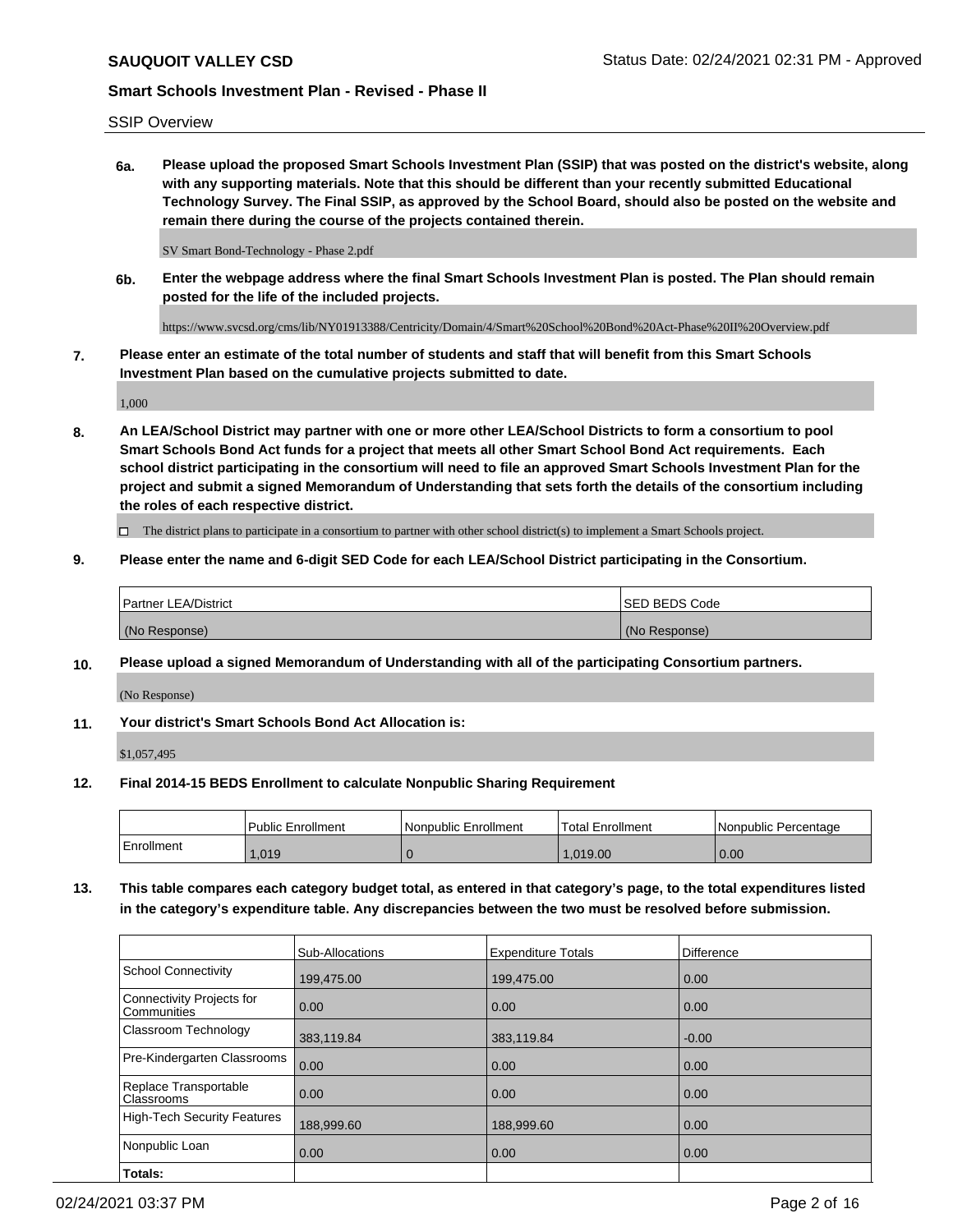# SSIP Overview

**6a. Please upload the proposed Smart Schools Investment Plan (SSIP) that was posted on the district's website, along with any supporting materials. Note that this should be different than your recently submitted Educational Technology Survey. The Final SSIP, as approved by the School Board, should also be posted on the website and remain there during the course of the projects contained therein.**

SV Smart Bond-Technology - Phase 2.pdf

**6b. Enter the webpage address where the final Smart Schools Investment Plan is posted. The Plan should remain posted for the life of the included projects.**

https://www.svcsd.org/cms/lib/NY01913388/Centricity/Domain/4/Smart%20School%20Bond%20Act-Phase%20II%20Overview.pdf

**7. Please enter an estimate of the total number of students and staff that will benefit from this Smart Schools Investment Plan based on the cumulative projects submitted to date.**

1,000

**8. An LEA/School District may partner with one or more other LEA/School Districts to form a consortium to pool Smart Schools Bond Act funds for a project that meets all other Smart School Bond Act requirements. Each school district participating in the consortium will need to file an approved Smart Schools Investment Plan for the project and submit a signed Memorandum of Understanding that sets forth the details of the consortium including the roles of each respective district.**

 $\Box$  The district plans to participate in a consortium to partner with other school district(s) to implement a Smart Schools project.

### **9. Please enter the name and 6-digit SED Code for each LEA/School District participating in the Consortium.**

| Partner LEA/District | <b>ISED BEDS Code</b> |
|----------------------|-----------------------|
| (No Response)        | (No Response)         |

### **10. Please upload a signed Memorandum of Understanding with all of the participating Consortium partners.**

(No Response)

### **11. Your district's Smart Schools Bond Act Allocation is:**

\$1,057,495

#### **12. Final 2014-15 BEDS Enrollment to calculate Nonpublic Sharing Requirement**

|            | l Public Enrollment | Nonpublic Enrollment | Total Enrollment | Nonpublic Percentage |
|------------|---------------------|----------------------|------------------|----------------------|
| Enrollment | .019                |                      | .019.00          | 0.00                 |

**13. This table compares each category budget total, as entered in that category's page, to the total expenditures listed in the category's expenditure table. Any discrepancies between the two must be resolved before submission.**

|                                          | Sub-Allocations | <b>Expenditure Totals</b> | <b>Difference</b> |
|------------------------------------------|-----------------|---------------------------|-------------------|
| <b>School Connectivity</b>               | 199,475.00      | 199,475.00                | 0.00              |
| Connectivity Projects for<br>Communities | 0.00            | 0.00                      | 0.00              |
| Classroom Technology                     | 383,119.84      | 383,119.84                | $-0.00$           |
| Pre-Kindergarten Classrooms              | 0.00            | 0.00                      | 0.00              |
| Replace Transportable<br>Classrooms      | 0.00            | 0.00                      | 0.00              |
| High-Tech Security Features              | 188,999.60      | 188,999.60                | 0.00              |
| Nonpublic Loan                           | 0.00            | 0.00                      | 0.00              |
| Totals:                                  |                 |                           |                   |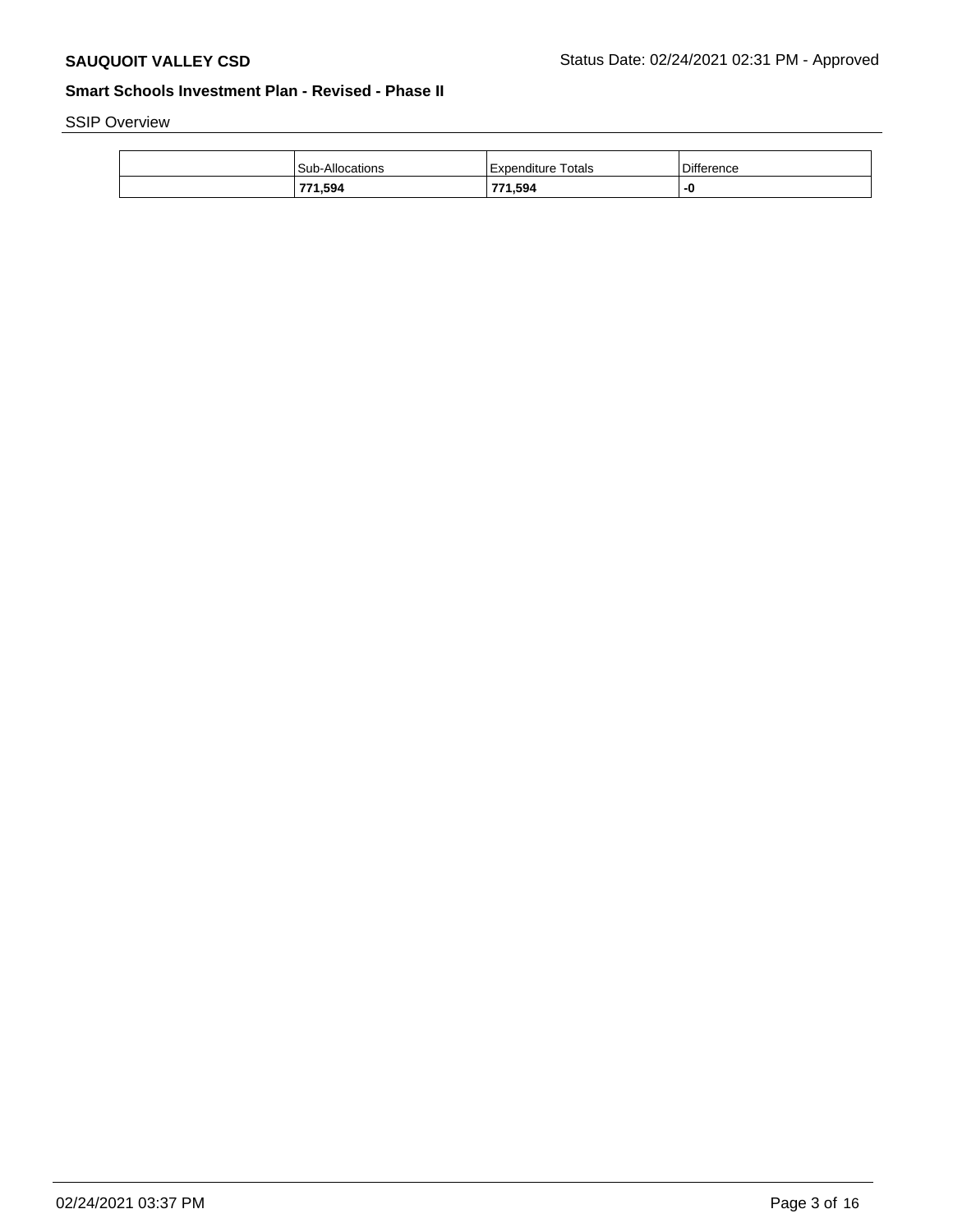# SSIP Overview

| Sub-Allocations | Totals<br>Expenditure | <b>Difference</b> |
|-----------------|-----------------------|-------------------|
| 771,594         | 771,594               | -ч                |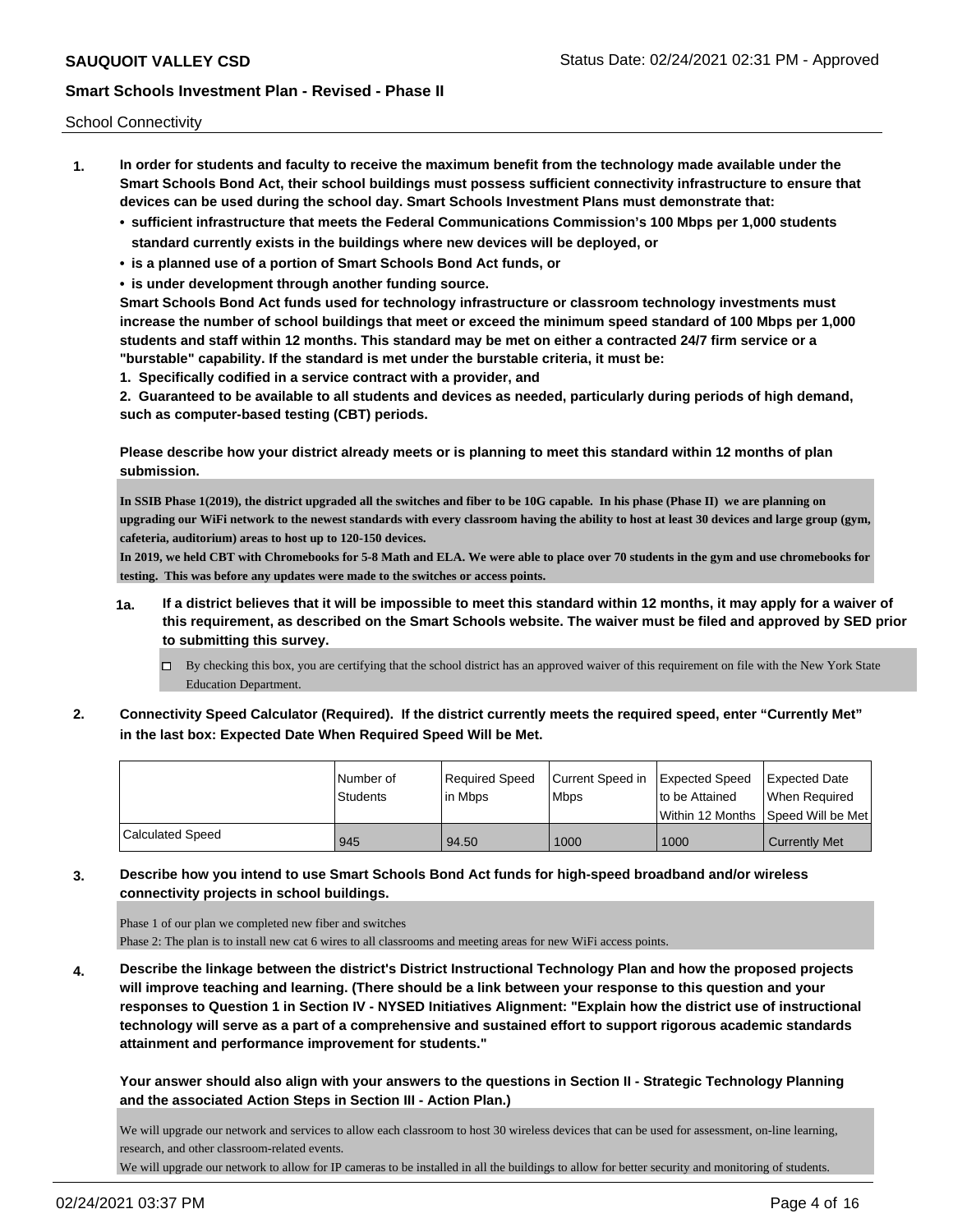School Connectivity

- **1. In order for students and faculty to receive the maximum benefit from the technology made available under the Smart Schools Bond Act, their school buildings must possess sufficient connectivity infrastructure to ensure that devices can be used during the school day. Smart Schools Investment Plans must demonstrate that:**
	- **• sufficient infrastructure that meets the Federal Communications Commission's 100 Mbps per 1,000 students standard currently exists in the buildings where new devices will be deployed, or**
	- **• is a planned use of a portion of Smart Schools Bond Act funds, or**
	- **• is under development through another funding source.**

**Smart Schools Bond Act funds used for technology infrastructure or classroom technology investments must increase the number of school buildings that meet or exceed the minimum speed standard of 100 Mbps per 1,000 students and staff within 12 months. This standard may be met on either a contracted 24/7 firm service or a "burstable" capability. If the standard is met under the burstable criteria, it must be:**

**1. Specifically codified in a service contract with a provider, and**

**2. Guaranteed to be available to all students and devices as needed, particularly during periods of high demand, such as computer-based testing (CBT) periods.**

**Please describe how your district already meets or is planning to meet this standard within 12 months of plan submission.**

**In SSIB Phase 1(2019), the district upgraded all the switches and fiber to be 10G capable. In his phase (Phase II) we are planning on upgrading our WiFi network to the newest standards with every classroom having the ability to host at least 30 devices and large group (gym, cafeteria, auditorium) areas to host up to 120-150 devices.**

**In 2019, we held CBT with Chromebooks for 5-8 Math and ELA. We were able to place over 70 students in the gym and use chromebooks for testing. This was before any updates were made to the switches or access points.**

- **1a. If a district believes that it will be impossible to meet this standard within 12 months, it may apply for a waiver of this requirement, as described on the Smart Schools website. The waiver must be filed and approved by SED prior to submitting this survey.**
	- By checking this box, you are certifying that the school district has an approved waiver of this requirement on file with the New York State Education Department.
- **2. Connectivity Speed Calculator (Required). If the district currently meets the required speed, enter "Currently Met" in the last box: Expected Date When Required Speed Will be Met.**

|                         | l Number of<br><b>Students</b> | Required Speed<br>lin Mbps | Current Speed in Expected Speed<br><b>Mbps</b> | to be Attained | Expected Date<br>When Required       |
|-------------------------|--------------------------------|----------------------------|------------------------------------------------|----------------|--------------------------------------|
|                         |                                |                            |                                                |                | Within 12 Months 1Speed Will be Met1 |
| <b>Calculated Speed</b> | 945                            | 94.50                      | 1000                                           | 1000           | Currently Met                        |

**3. Describe how you intend to use Smart Schools Bond Act funds for high-speed broadband and/or wireless connectivity projects in school buildings.**

Phase 1 of our plan we completed new fiber and switches

Phase 2: The plan is to install new cat 6 wires to all classrooms and meeting areas for new WiFi access points.

**4. Describe the linkage between the district's District Instructional Technology Plan and how the proposed projects will improve teaching and learning. (There should be a link between your response to this question and your responses to Question 1 in Section IV - NYSED Initiatives Alignment: "Explain how the district use of instructional technology will serve as a part of a comprehensive and sustained effort to support rigorous academic standards attainment and performance improvement for students."** 

**Your answer should also align with your answers to the questions in Section II - Strategic Technology Planning and the associated Action Steps in Section III - Action Plan.)**

We will upgrade our network and services to allow each classroom to host 30 wireless devices that can be used for assessment, on-line learning, research, and other classroom-related events.

We will upgrade our network to allow for IP cameras to be installed in all the buildings to allow for better security and monitoring of students.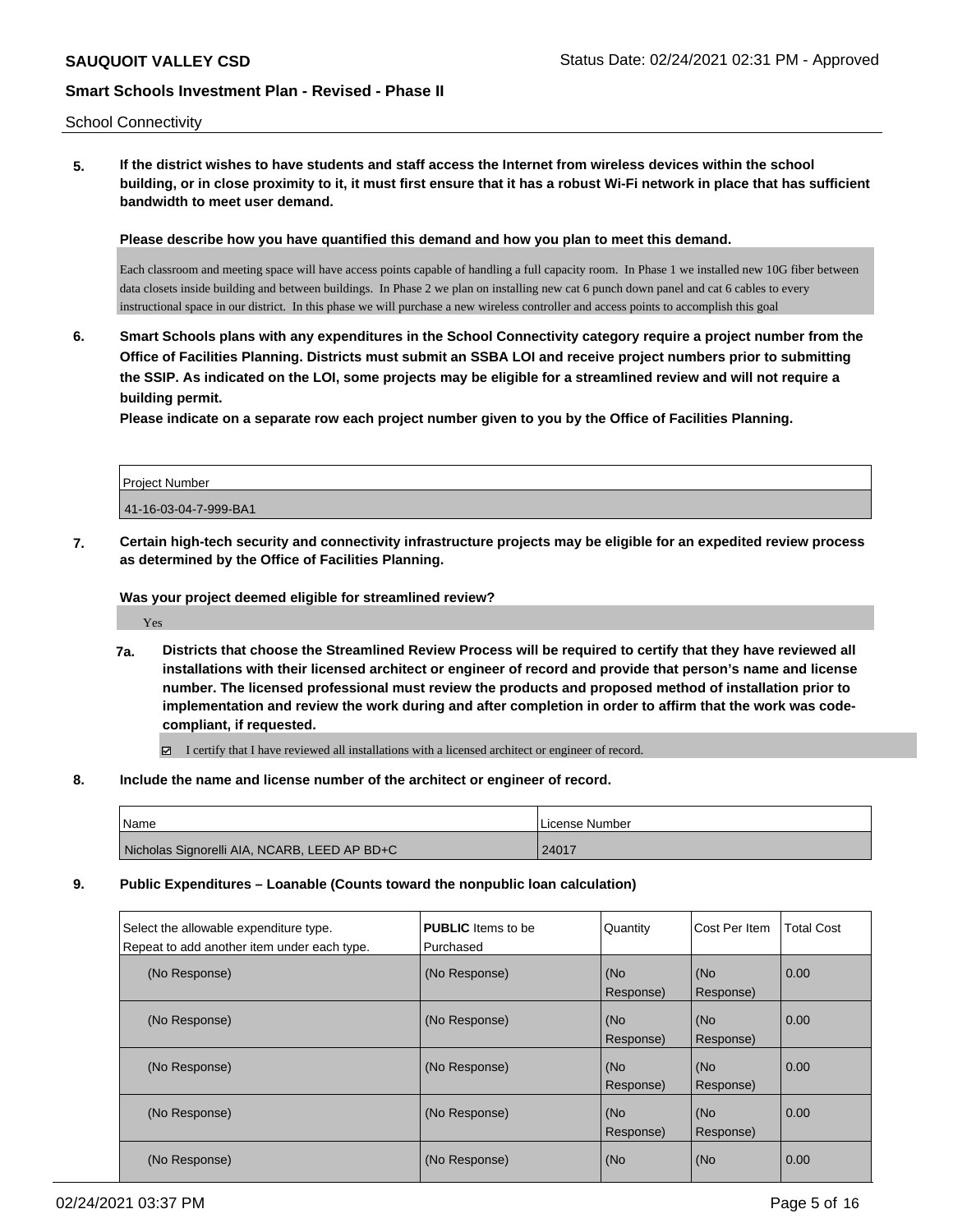#### School Connectivity

**5. If the district wishes to have students and staff access the Internet from wireless devices within the school building, or in close proximity to it, it must first ensure that it has a robust Wi-Fi network in place that has sufficient bandwidth to meet user demand.**

**Please describe how you have quantified this demand and how you plan to meet this demand.**

Each classroom and meeting space will have access points capable of handling a full capacity room. In Phase 1 we installed new 10G fiber between data closets inside building and between buildings. In Phase 2 we plan on installing new cat 6 punch down panel and cat 6 cables to every instructional space in our district. In this phase we will purchase a new wireless controller and access points to accomplish this goal

**6. Smart Schools plans with any expenditures in the School Connectivity category require a project number from the Office of Facilities Planning. Districts must submit an SSBA LOI and receive project numbers prior to submitting the SSIP. As indicated on the LOI, some projects may be eligible for a streamlined review and will not require a building permit.**

**Please indicate on a separate row each project number given to you by the Office of Facilities Planning.**

| <b>Project Number</b> |  |
|-----------------------|--|
| 41-16-03-04-7-999-BA1 |  |
|                       |  |

**7. Certain high-tech security and connectivity infrastructure projects may be eligible for an expedited review process as determined by the Office of Facilities Planning.**

**Was your project deemed eligible for streamlined review?**

Yes

**7a. Districts that choose the Streamlined Review Process will be required to certify that they have reviewed all installations with their licensed architect or engineer of record and provide that person's name and license number. The licensed professional must review the products and proposed method of installation prior to implementation and review the work during and after completion in order to affirm that the work was codecompliant, if requested.**

I certify that I have reviewed all installations with a licensed architect or engineer of record.

**8. Include the name and license number of the architect or engineer of record.**

| <b>Name</b>                                  | l License Number |
|----------------------------------------------|------------------|
| Nicholas Signorelli AIA, NCARB, LEED AP BD+C | 24017            |

**9. Public Expenditures – Loanable (Counts toward the nonpublic loan calculation)**

| Select the allowable expenditure type.      | <b>PUBLIC</b> Items to be | Quantity  | Cost Per Item | Total Cost |
|---------------------------------------------|---------------------------|-----------|---------------|------------|
| Repeat to add another item under each type. | Purchased                 |           |               |            |
| (No Response)                               | (No Response)             | (No       | (No           | 0.00       |
|                                             |                           | Response) | Response)     |            |
| (No Response)                               | (No Response)             | (No       | (No           | 0.00       |
|                                             |                           | Response) | Response)     |            |
| (No Response)                               | (No Response)             | (No       | (No           | 0.00       |
|                                             |                           | Response) | Response)     |            |
| (No Response)                               | (No Response)             | (No       | (No           | 0.00       |
|                                             |                           | Response) | Response)     |            |
| (No Response)                               | (No Response)             | (No       | (No           | 0.00       |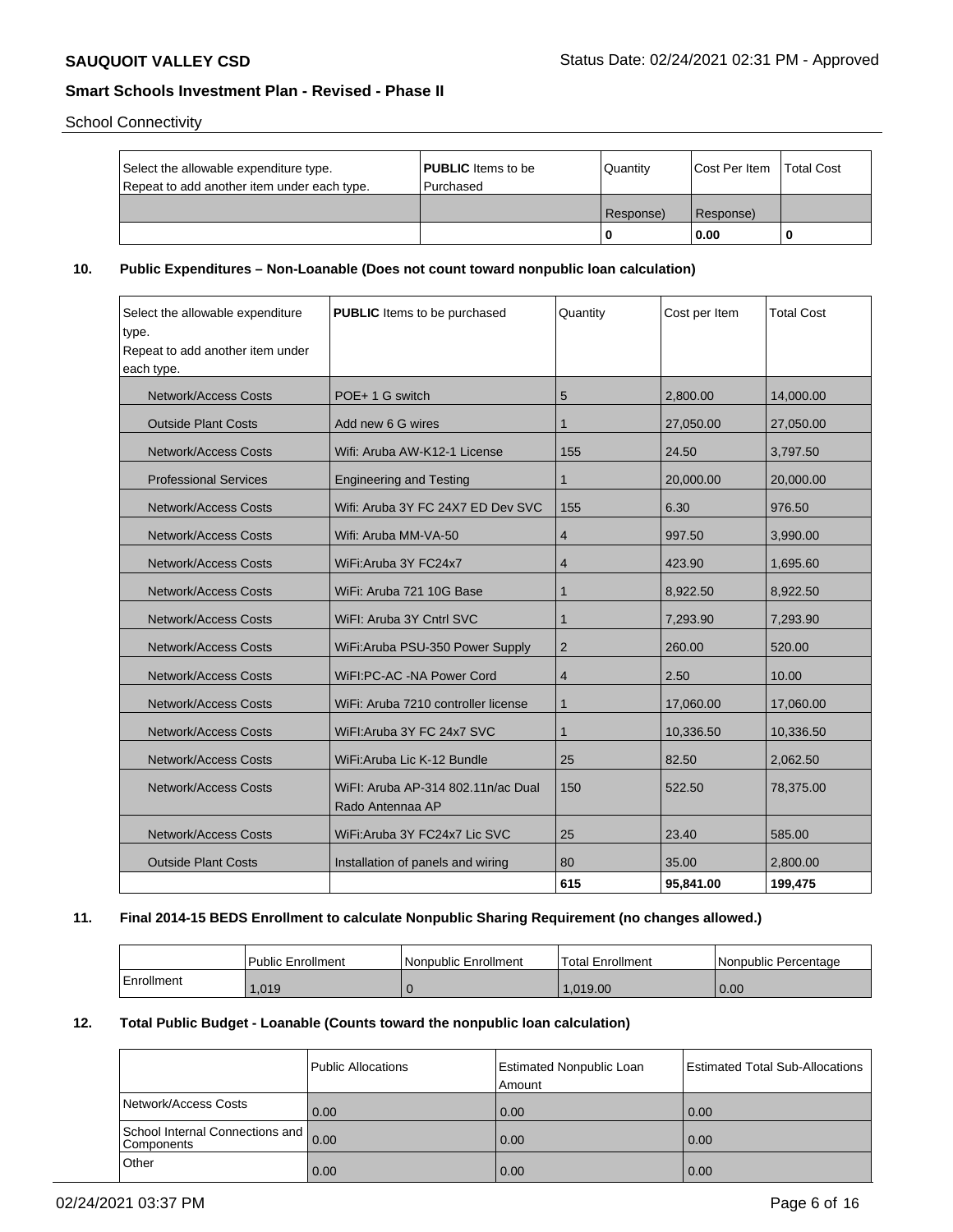School Connectivity

| Select the allowable expenditure type.<br>Repeat to add another item under each type. | <b>PUBLIC</b> Items to be<br>l Purchased | Quantity  | Cost Per Item | <b>Total Cost</b> |
|---------------------------------------------------------------------------------------|------------------------------------------|-----------|---------------|-------------------|
|                                                                                       |                                          | Response) | Response)     |                   |
|                                                                                       |                                          |           | 0.00          | -0                |

### **10. Public Expenditures – Non-Loanable (Does not count toward nonpublic loan calculation)**

| Select the allowable expenditure<br>type. | <b>PUBLIC</b> Items to be purchased | Quantity       | Cost per Item | <b>Total Cost</b> |
|-------------------------------------------|-------------------------------------|----------------|---------------|-------------------|
| Repeat to add another item under          |                                     |                |               |                   |
| each type.                                |                                     |                |               |                   |
|                                           |                                     |                |               |                   |
| <b>Network/Access Costs</b>               | POE+1 G switch                      | 5              | 2.800.00      | 14,000.00         |
| <b>Outside Plant Costs</b>                | Add new 6 G wires                   | $\mathbf 1$    | 27,050.00     | 27,050.00         |
| <b>Network/Access Costs</b>               | Wifi: Aruba AW-K12-1 License        | 155            | 24.50         | 3,797.50          |
| <b>Professional Services</b>              | <b>Engineering and Testing</b>      | $\mathbf 1$    | 20,000.00     | 20,000.00         |
| <b>Network/Access Costs</b>               | Wifi: Aruba 3Y FC 24X7 ED Dev SVC   | 155            | 6.30          | 976.50            |
| Network/Access Costs                      | Wifi: Aruba MM-VA-50                | $\overline{4}$ | 997.50        | 3,990.00          |
| <b>Network/Access Costs</b>               | WiFi:Aruba 3Y FC24x7                | $\overline{4}$ | 423.90        | 1,695.60          |
| <b>Network/Access Costs</b>               | WiFi: Aruba 721 10G Base            | $\mathbf 1$    | 8,922.50      | 8,922.50          |
| <b>Network/Access Costs</b>               | WiFI: Aruba 3Y Cntrl SVC            | $\mathbf 1$    | 7.293.90      | 7,293.90          |
| <b>Network/Access Costs</b>               | WiFi: Aruba PSU-350 Power Supply    | $\overline{2}$ | 260.00        | 520.00            |
| <b>Network/Access Costs</b>               | WiFI:PC-AC -NA Power Cord           | 4              | 2.50          | 10.00             |
| <b>Network/Access Costs</b>               | WiFi: Aruba 7210 controller license | 1              | 17,060.00     | 17,060.00         |
| <b>Network/Access Costs</b>               | WiFI: Aruba 3Y FC 24x7 SVC          | $\mathbf{1}$   | 10,336.50     | 10,336.50         |
| <b>Network/Access Costs</b>               | WiFi: Aruba Lic K-12 Bundle         | 25             | 82.50         | 2,062.50          |
| Network/Access Costs                      | WiFI: Aruba AP-314 802.11n/ac Dual  | 150            | 522.50        | 78.375.00         |
|                                           | Rado Antennaa AP                    |                |               |                   |
| <b>Network/Access Costs</b>               | WiFi:Aruba 3Y FC24x7 Lic SVC        | 25             | 23.40         | 585.00            |
| <b>Outside Plant Costs</b>                | Installation of panels and wiring   | 80             | 35.00         | 2,800.00          |
|                                           |                                     | 615            | 95,841.00     | 199,475           |

### **11. Final 2014-15 BEDS Enrollment to calculate Nonpublic Sharing Requirement (no changes allowed.)**

|                   | <b>Public Enrollment</b> | Nonpublic Enrollment | 'Total Enrollment | Nonpublic Percentage |
|-------------------|--------------------------|----------------------|-------------------|----------------------|
| <b>Enrollment</b> | .019                     |                      | .019.00           | 0.00                 |

#### **12. Total Public Budget - Loanable (Counts toward the nonpublic loan calculation)**

|                                                    | Public Allocations | <b>Estimated Nonpublic Loan</b><br>Amount | <b>Estimated Total Sub-Allocations</b> |
|----------------------------------------------------|--------------------|-------------------------------------------|----------------------------------------|
| Network/Access Costs                               | 0.00               | 0.00                                      | 0.00                                   |
| School Internal Connections and 0.00<br>Components |                    | 0.00                                      | 0.00                                   |
| Other                                              | 0.00               | 0.00                                      | 0.00                                   |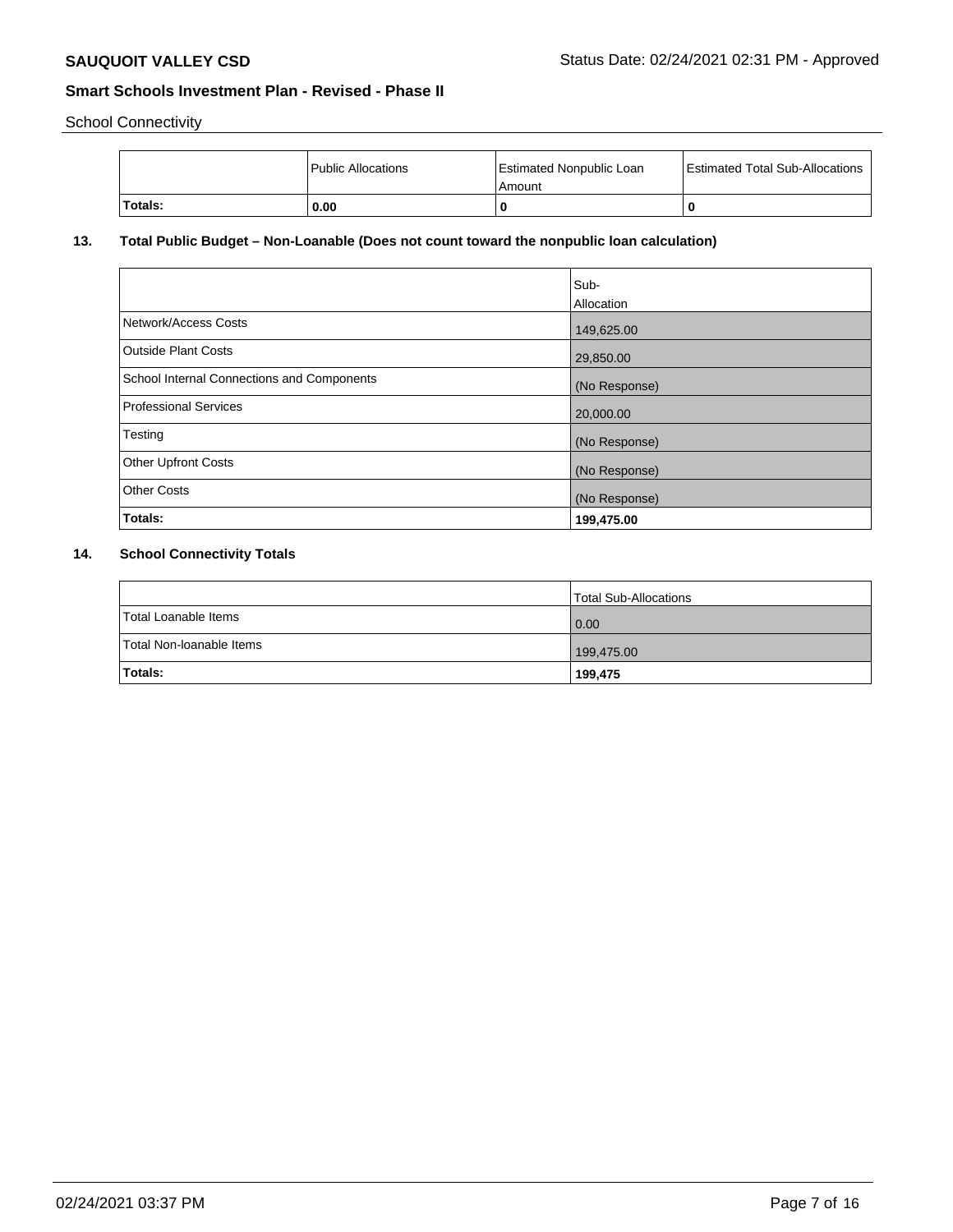School Connectivity

|         | l Public Allocations | <b>Estimated Nonpublic Loan</b><br>Amount | <b>Estimated Total Sub-Allocations</b> |
|---------|----------------------|-------------------------------------------|----------------------------------------|
| Totals: | 0.00                 |                                           |                                        |

# **13. Total Public Budget – Non-Loanable (Does not count toward the nonpublic loan calculation)**

|                                            | Sub-          |
|--------------------------------------------|---------------|
|                                            | Allocation    |
| Network/Access Costs                       | 149,625.00    |
| Outside Plant Costs                        | 29,850.00     |
| School Internal Connections and Components | (No Response) |
| Professional Services                      | 20,000.00     |
| Testing                                    | (No Response) |
| <b>Other Upfront Costs</b>                 | (No Response) |
| <b>Other Costs</b>                         | (No Response) |
| Totals:                                    | 199,475.00    |

# **14. School Connectivity Totals**

|                          | Total Sub-Allocations |
|--------------------------|-----------------------|
| Total Loanable Items     | $\overline{0.00}$     |
| Total Non-Ioanable Items | 199,475.00            |
| <b>Totals:</b>           | 199,475               |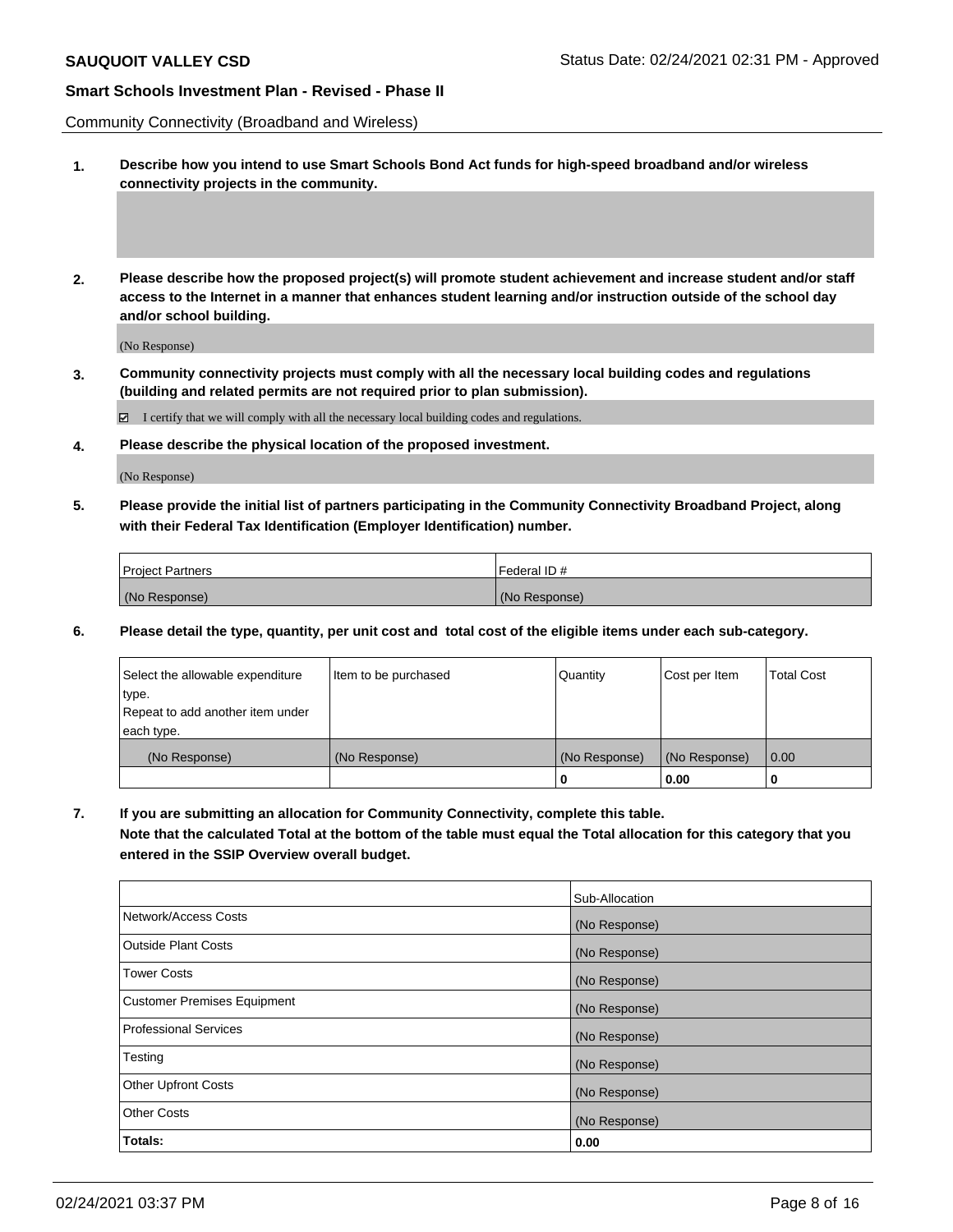Community Connectivity (Broadband and Wireless)

- **1. Describe how you intend to use Smart Schools Bond Act funds for high-speed broadband and/or wireless connectivity projects in the community.**
- **2. Please describe how the proposed project(s) will promote student achievement and increase student and/or staff access to the Internet in a manner that enhances student learning and/or instruction outside of the school day and/or school building.**

(No Response)

**3. Community connectivity projects must comply with all the necessary local building codes and regulations (building and related permits are not required prior to plan submission).**

 $\boxtimes$  I certify that we will comply with all the necessary local building codes and regulations.

**4. Please describe the physical location of the proposed investment.**

(No Response)

**5. Please provide the initial list of partners participating in the Community Connectivity Broadband Project, along with their Federal Tax Identification (Employer Identification) number.**

| l Proiect Partners | l Federal ID # |
|--------------------|----------------|
| (No Response)      | (No Response)  |

**6. Please detail the type, quantity, per unit cost and total cost of the eligible items under each sub-category.**

| Select the allowable expenditure | Item to be purchased | Quantity      | Cost per Item | <b>Total Cost</b> |
|----------------------------------|----------------------|---------------|---------------|-------------------|
| type.                            |                      |               |               |                   |
| Repeat to add another item under |                      |               |               |                   |
| each type.                       |                      |               |               |                   |
| (No Response)                    | (No Response)        | (No Response) | (No Response) | $\overline{0.00}$ |
|                                  |                      |               | 0.00          |                   |

**7. If you are submitting an allocation for Community Connectivity, complete this table.**

**Note that the calculated Total at the bottom of the table must equal the Total allocation for this category that you entered in the SSIP Overview overall budget.**

|                                    | Sub-Allocation |
|------------------------------------|----------------|
| Network/Access Costs               | (No Response)  |
| Outside Plant Costs                | (No Response)  |
| <b>Tower Costs</b>                 | (No Response)  |
| <b>Customer Premises Equipment</b> | (No Response)  |
| <b>Professional Services</b>       | (No Response)  |
| Testing                            | (No Response)  |
| <b>Other Upfront Costs</b>         | (No Response)  |
| <b>Other Costs</b>                 | (No Response)  |
| Totals:                            | 0.00           |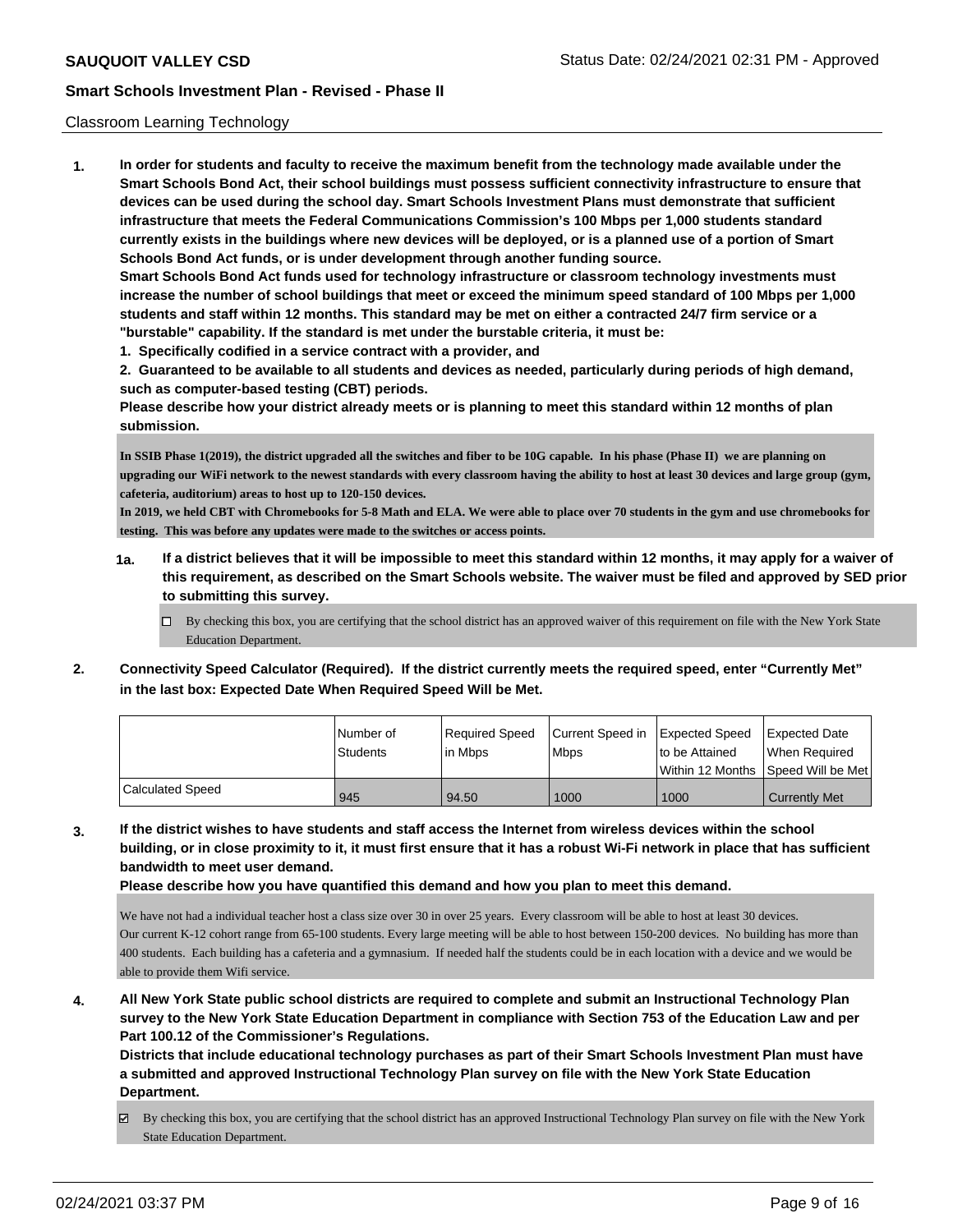#### Classroom Learning Technology

**1. In order for students and faculty to receive the maximum benefit from the technology made available under the Smart Schools Bond Act, their school buildings must possess sufficient connectivity infrastructure to ensure that devices can be used during the school day. Smart Schools Investment Plans must demonstrate that sufficient infrastructure that meets the Federal Communications Commission's 100 Mbps per 1,000 students standard currently exists in the buildings where new devices will be deployed, or is a planned use of a portion of Smart Schools Bond Act funds, or is under development through another funding source. Smart Schools Bond Act funds used for technology infrastructure or classroom technology investments must increase the number of school buildings that meet or exceed the minimum speed standard of 100 Mbps per 1,000 students and staff within 12 months. This standard may be met on either a contracted 24/7 firm service or a**

- **"burstable" capability. If the standard is met under the burstable criteria, it must be:**
- **1. Specifically codified in a service contract with a provider, and**

**2. Guaranteed to be available to all students and devices as needed, particularly during periods of high demand, such as computer-based testing (CBT) periods.**

**Please describe how your district already meets or is planning to meet this standard within 12 months of plan submission.**

**In SSIB Phase 1(2019), the district upgraded all the switches and fiber to be 10G capable. In his phase (Phase II) we are planning on upgrading our WiFi network to the newest standards with every classroom having the ability to host at least 30 devices and large group (gym, cafeteria, auditorium) areas to host up to 120-150 devices.**

**In 2019, we held CBT with Chromebooks for 5-8 Math and ELA. We were able to place over 70 students in the gym and use chromebooks for testing. This was before any updates were made to the switches or access points.**

- **1a. If a district believes that it will be impossible to meet this standard within 12 months, it may apply for a waiver of this requirement, as described on the Smart Schools website. The waiver must be filed and approved by SED prior to submitting this survey.**
	- By checking this box, you are certifying that the school district has an approved waiver of this requirement on file with the New York State Education Department.
- **2. Connectivity Speed Calculator (Required). If the district currently meets the required speed, enter "Currently Met" in the last box: Expected Date When Required Speed Will be Met.**

|                  | I Number of | Required Speed | l Current Speed in | Expected Speed | <b>Expected Date</b>                    |
|------------------|-------------|----------------|--------------------|----------------|-----------------------------------------|
|                  | Students    | in Mbps        | <b>Mbps</b>        | to be Attained | When Required                           |
|                  |             |                |                    |                | l Within 12 Months ISpeed Will be Met l |
| Calculated Speed | 945         | 94.50          | 1000               | 1000           | Currently Met                           |

**3. If the district wishes to have students and staff access the Internet from wireless devices within the school building, or in close proximity to it, it must first ensure that it has a robust Wi-Fi network in place that has sufficient bandwidth to meet user demand.**

**Please describe how you have quantified this demand and how you plan to meet this demand.**

We have not had a individual teacher host a class size over 30 in over 25 years. Every classroom will be able to host at least 30 devices. Our current K-12 cohort range from 65-100 students. Every large meeting will be able to host between 150-200 devices. No building has more than 400 students. Each building has a cafeteria and a gymnasium. If needed half the students could be in each location with a device and we would be able to provide them Wifi service.

**4. All New York State public school districts are required to complete and submit an Instructional Technology Plan survey to the New York State Education Department in compliance with Section 753 of the Education Law and per Part 100.12 of the Commissioner's Regulations.**

**Districts that include educational technology purchases as part of their Smart Schools Investment Plan must have a submitted and approved Instructional Technology Plan survey on file with the New York State Education Department.**

By checking this box, you are certifying that the school district has an approved Instructional Technology Plan survey on file with the New York State Education Department.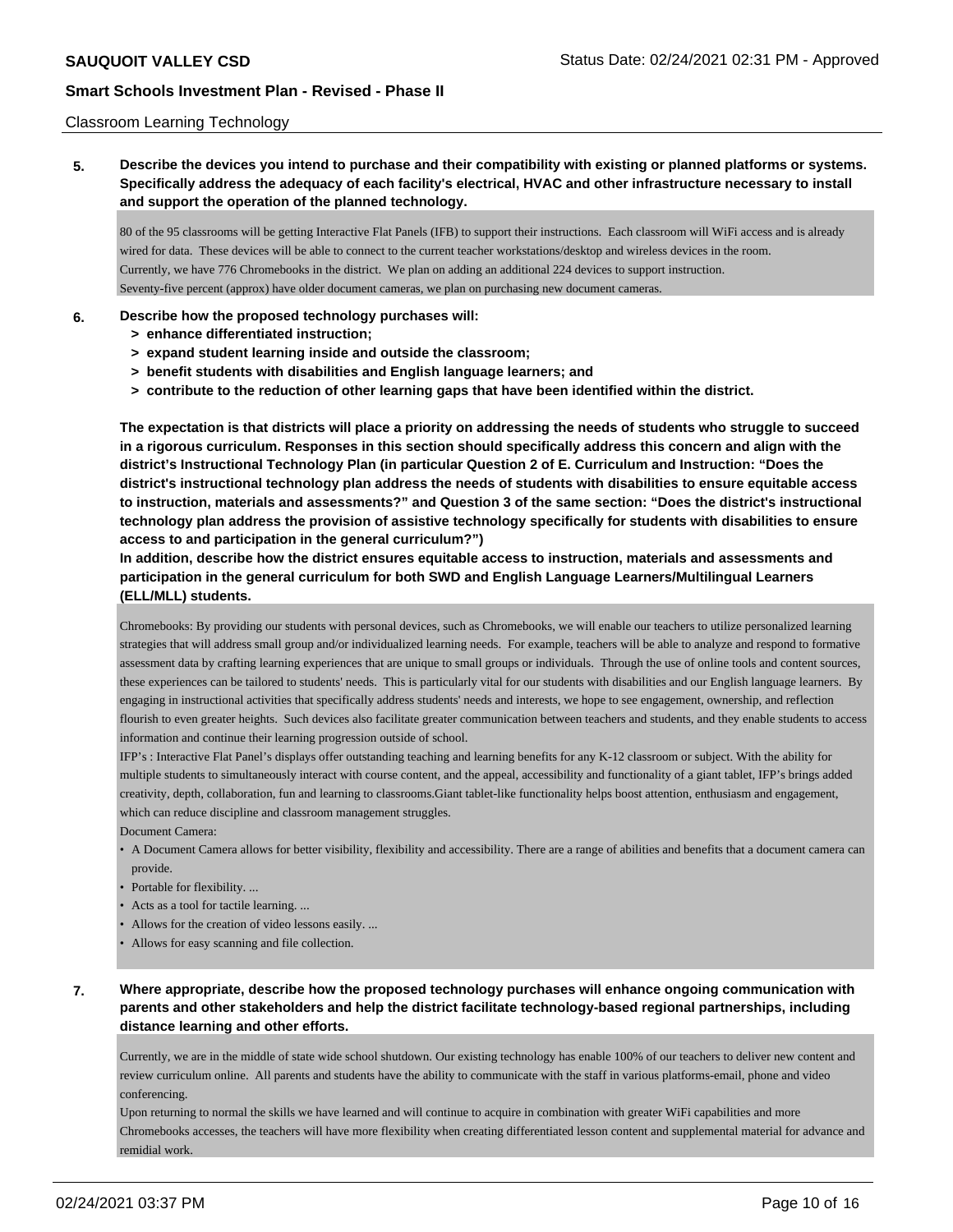### Classroom Learning Technology

# **5. Describe the devices you intend to purchase and their compatibility with existing or planned platforms or systems. Specifically address the adequacy of each facility's electrical, HVAC and other infrastructure necessary to install and support the operation of the planned technology.**

80 of the 95 classrooms will be getting Interactive Flat Panels (IFB) to support their instructions. Each classroom will WiFi access and is already wired for data. These devices will be able to connect to the current teacher workstations/desktop and wireless devices in the room. Currently, we have 776 Chromebooks in the district. We plan on adding an additional 224 devices to support instruction. Seventy-five percent (approx) have older document cameras, we plan on purchasing new document cameras.

### **6. Describe how the proposed technology purchases will:**

- **> enhance differentiated instruction;**
- **> expand student learning inside and outside the classroom;**
- **> benefit students with disabilities and English language learners; and**
- **> contribute to the reduction of other learning gaps that have been identified within the district.**

**The expectation is that districts will place a priority on addressing the needs of students who struggle to succeed in a rigorous curriculum. Responses in this section should specifically address this concern and align with the district's Instructional Technology Plan (in particular Question 2 of E. Curriculum and Instruction: "Does the district's instructional technology plan address the needs of students with disabilities to ensure equitable access to instruction, materials and assessments?" and Question 3 of the same section: "Does the district's instructional technology plan address the provision of assistive technology specifically for students with disabilities to ensure access to and participation in the general curriculum?")**

**In addition, describe how the district ensures equitable access to instruction, materials and assessments and participation in the general curriculum for both SWD and English Language Learners/Multilingual Learners (ELL/MLL) students.**

Chromebooks: By providing our students with personal devices, such as Chromebooks, we will enable our teachers to utilize personalized learning strategies that will address small group and/or individualized learning needs. For example, teachers will be able to analyze and respond to formative assessment data by crafting learning experiences that are unique to small groups or individuals. Through the use of online tools and content sources, these experiences can be tailored to students' needs. This is particularly vital for our students with disabilities and our English language learners. By engaging in instructional activities that specifically address students' needs and interests, we hope to see engagement, ownership, and reflection flourish to even greater heights. Such devices also facilitate greater communication between teachers and students, and they enable students to access information and continue their learning progression outside of school.

IFP's : Interactive Flat Panel's displays offer outstanding teaching and learning benefits for any K-12 classroom or subject. With the ability for multiple students to simultaneously interact with course content, and the appeal, accessibility and functionality of a giant tablet, IFP's brings added creativity, depth, collaboration, fun and learning to classrooms.Giant tablet-like functionality helps boost attention, enthusiasm and engagement, which can reduce discipline and classroom management struggles.

Document Camera:

- A Document Camera allows for better visibility, flexibility and accessibility. There are a range of abilities and benefits that a document camera can provide.
- Portable for flexibility. ...
- Acts as a tool for tactile learning. ...
- Allows for the creation of video lessons easily. ...
- Allows for easy scanning and file collection.

# **7. Where appropriate, describe how the proposed technology purchases will enhance ongoing communication with parents and other stakeholders and help the district facilitate technology-based regional partnerships, including distance learning and other efforts.**

Currently, we are in the middle of state wide school shutdown. Our existing technology has enable 100% of our teachers to deliver new content and review curriculum online. All parents and students have the ability to communicate with the staff in various platforms-email, phone and video conferencing.

Upon returning to normal the skills we have learned and will continue to acquire in combination with greater WiFi capabilities and more Chromebooks accesses, the teachers will have more flexibility when creating differentiated lesson content and supplemental material for advance and remidial work.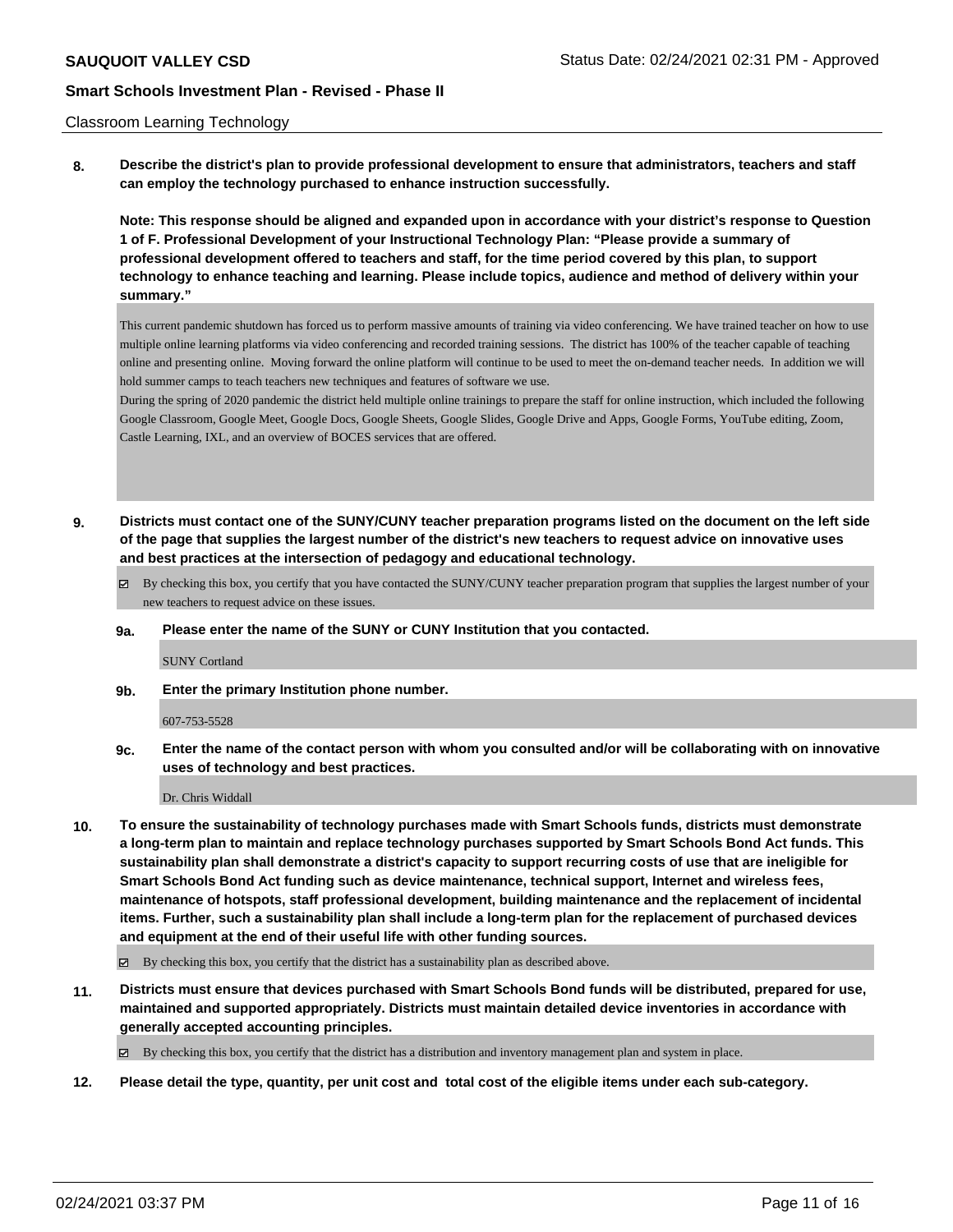#### Classroom Learning Technology

**8. Describe the district's plan to provide professional development to ensure that administrators, teachers and staff can employ the technology purchased to enhance instruction successfully.**

**Note: This response should be aligned and expanded upon in accordance with your district's response to Question 1 of F. Professional Development of your Instructional Technology Plan: "Please provide a summary of professional development offered to teachers and staff, for the time period covered by this plan, to support technology to enhance teaching and learning. Please include topics, audience and method of delivery within your summary."**

This current pandemic shutdown has forced us to perform massive amounts of training via video conferencing. We have trained teacher on how to use multiple online learning platforms via video conferencing and recorded training sessions. The district has 100% of the teacher capable of teaching online and presenting online. Moving forward the online platform will continue to be used to meet the on-demand teacher needs. In addition we will hold summer camps to teach teachers new techniques and features of software we use.

During the spring of 2020 pandemic the district held multiple online trainings to prepare the staff for online instruction, which included the following Google Classroom, Google Meet, Google Docs, Google Sheets, Google Slides, Google Drive and Apps, Google Forms, YouTube editing, Zoom, Castle Learning, IXL, and an overview of BOCES services that are offered.

- **9. Districts must contact one of the SUNY/CUNY teacher preparation programs listed on the document on the left side of the page that supplies the largest number of the district's new teachers to request advice on innovative uses and best practices at the intersection of pedagogy and educational technology.**
	- By checking this box, you certify that you have contacted the SUNY/CUNY teacher preparation program that supplies the largest number of your new teachers to request advice on these issues.
	- **9a. Please enter the name of the SUNY or CUNY Institution that you contacted.**

#### SUNY Cortland

**9b. Enter the primary Institution phone number.**

### 607-753-5528

**9c. Enter the name of the contact person with whom you consulted and/or will be collaborating with on innovative uses of technology and best practices.**

### Dr. Chris Widdall

**10. To ensure the sustainability of technology purchases made with Smart Schools funds, districts must demonstrate a long-term plan to maintain and replace technology purchases supported by Smart Schools Bond Act funds. This sustainability plan shall demonstrate a district's capacity to support recurring costs of use that are ineligible for Smart Schools Bond Act funding such as device maintenance, technical support, Internet and wireless fees, maintenance of hotspots, staff professional development, building maintenance and the replacement of incidental items. Further, such a sustainability plan shall include a long-term plan for the replacement of purchased devices and equipment at the end of their useful life with other funding sources.**

 $\boxtimes$  By checking this box, you certify that the district has a sustainability plan as described above.

**11. Districts must ensure that devices purchased with Smart Schools Bond funds will be distributed, prepared for use, maintained and supported appropriately. Districts must maintain detailed device inventories in accordance with generally accepted accounting principles.**

By checking this box, you certify that the district has a distribution and inventory management plan and system in place.

**12. Please detail the type, quantity, per unit cost and total cost of the eligible items under each sub-category.**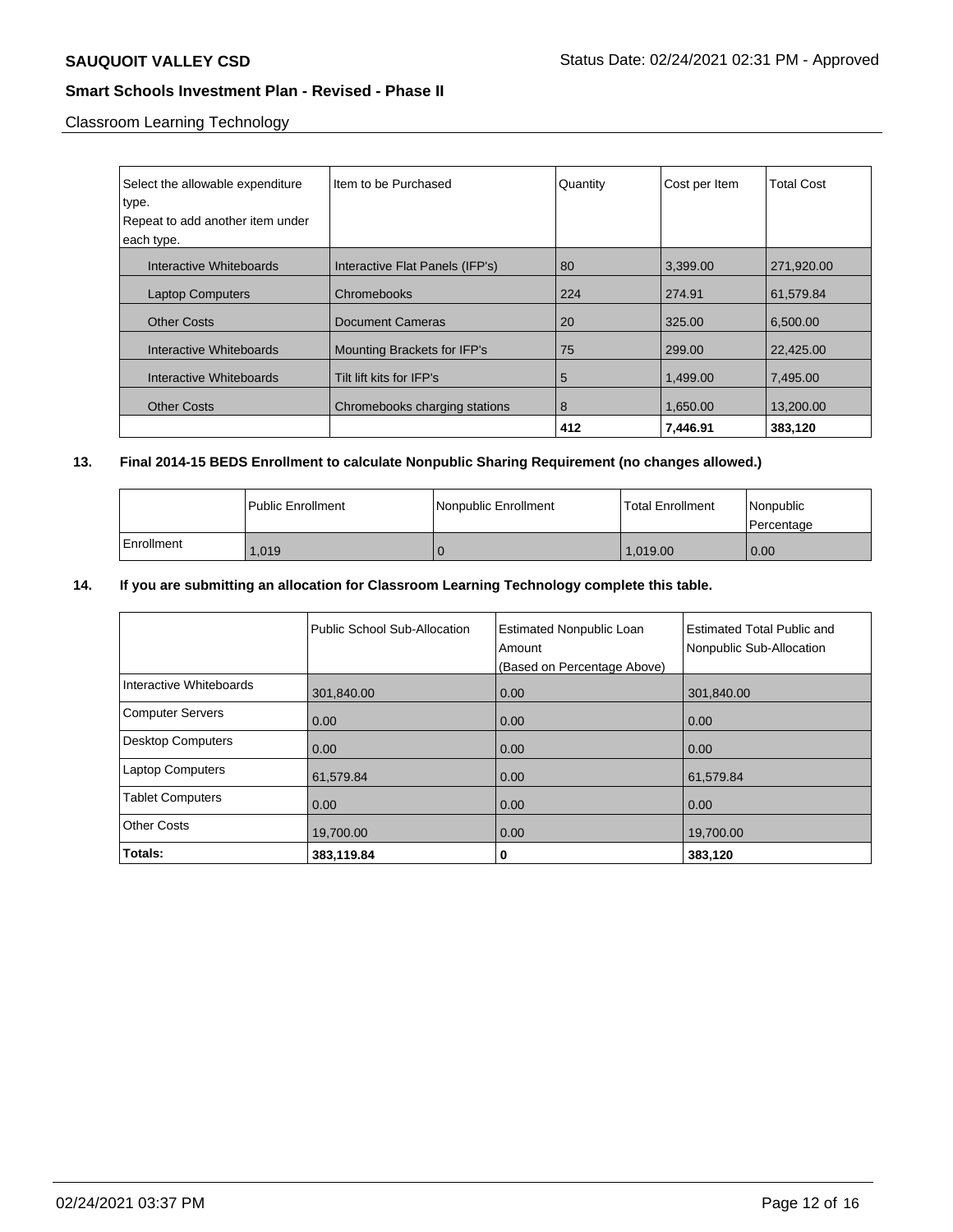Classroom Learning Technology

| Select the allowable expenditure | Item to be Purchased            | Quantity | Cost per Item | <b>Total Cost</b> |
|----------------------------------|---------------------------------|----------|---------------|-------------------|
| type.                            |                                 |          |               |                   |
| Repeat to add another item under |                                 |          |               |                   |
| each type.                       |                                 |          |               |                   |
| Interactive Whiteboards          | Interactive Flat Panels (IFP's) | 80       | 3,399.00      | 271,920.00        |
| <b>Laptop Computers</b>          | Chromebooks                     | 224      | 274.91        | 61.579.84         |
| <b>Other Costs</b>               | <b>Document Cameras</b>         | 20       | 325.00        | 6,500.00          |
| Interactive Whiteboards          | Mounting Brackets for IFP's     | 75       | 299.00        | 22,425.00         |
| Interactive Whiteboards          | Tilt lift kits for IFP's        | 5        | 1.499.00      | 7,495.00          |
| <b>Other Costs</b>               | Chromebooks charging stations   | 8        | 1,650.00      | 13,200.00         |
|                                  |                                 | 412      | 7,446.91      | 383,120           |

# **13. Final 2014-15 BEDS Enrollment to calculate Nonpublic Sharing Requirement (no changes allowed.)**

|            | l Public Enrollment | Nonpublic Enrollment | l Total Enrollment | l Nonpublic<br>l Percentage |
|------------|---------------------|----------------------|--------------------|-----------------------------|
| Enrollment | 1.019               |                      | 1.019.00           | 0.00                        |

# **14. If you are submitting an allocation for Classroom Learning Technology complete this table.**

|                          | Public School Sub-Allocation | <b>Estimated Nonpublic Loan</b><br>Amount<br>(Based on Percentage Above) | <b>Estimated Total Public and</b><br>Nonpublic Sub-Allocation |
|--------------------------|------------------------------|--------------------------------------------------------------------------|---------------------------------------------------------------|
| Interactive Whiteboards  | 301,840.00                   | 0.00                                                                     | 301,840.00                                                    |
| <b>Computer Servers</b>  | 0.00                         | 0.00                                                                     | 0.00                                                          |
| <b>Desktop Computers</b> | 0.00                         | 0.00                                                                     | 0.00                                                          |
| <b>Laptop Computers</b>  | 61,579.84                    | 0.00                                                                     | 61.579.84                                                     |
| <b>Tablet Computers</b>  | 0.00                         | 0.00                                                                     | 0.00                                                          |
| <b>Other Costs</b>       | 19,700.00                    | 0.00                                                                     | 19,700.00                                                     |
| Totals:                  | 383,119.84                   | 0                                                                        | 383,120                                                       |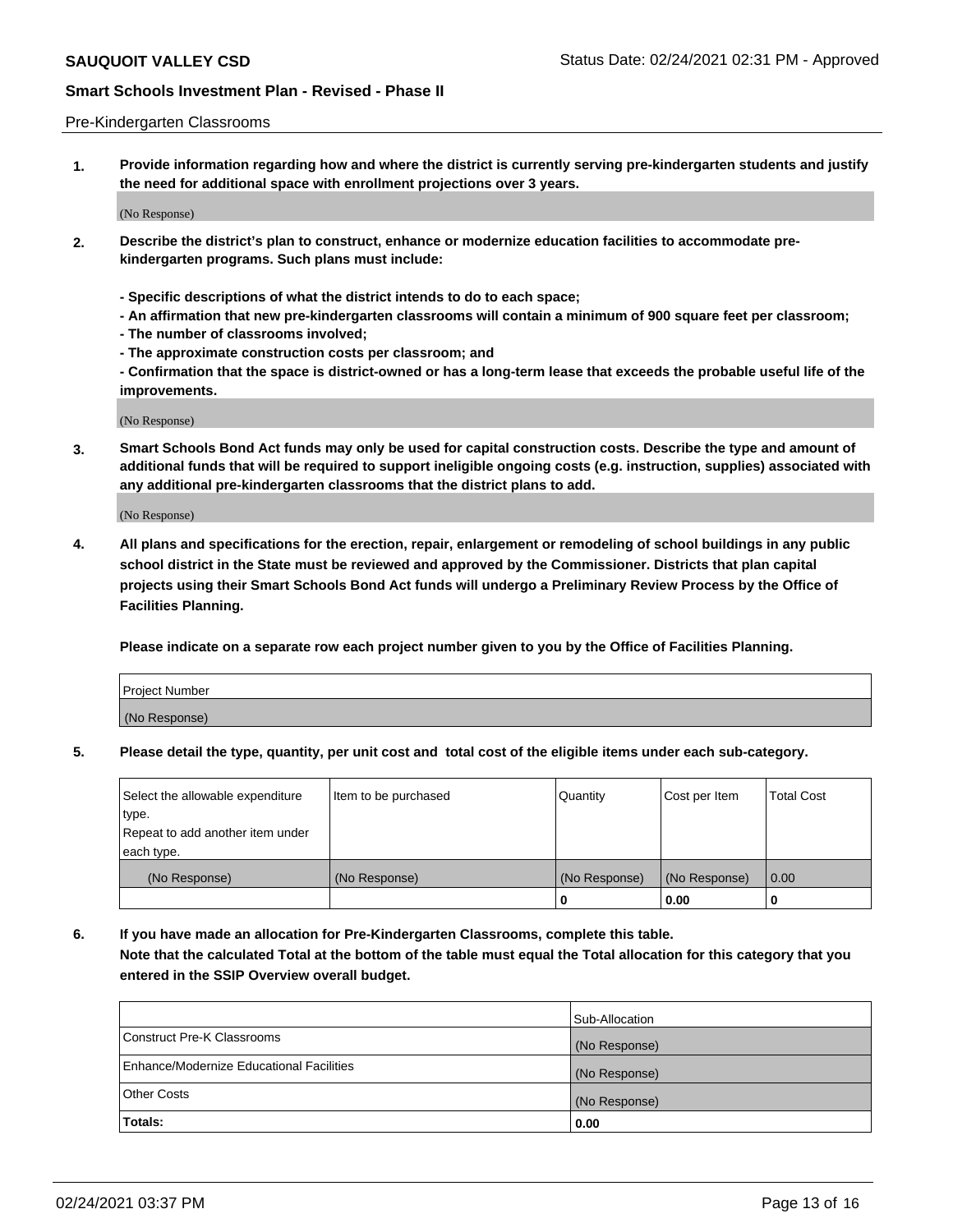#### Pre-Kindergarten Classrooms

**1. Provide information regarding how and where the district is currently serving pre-kindergarten students and justify the need for additional space with enrollment projections over 3 years.**

(No Response)

- **2. Describe the district's plan to construct, enhance or modernize education facilities to accommodate prekindergarten programs. Such plans must include:**
	- **Specific descriptions of what the district intends to do to each space;**
	- **An affirmation that new pre-kindergarten classrooms will contain a minimum of 900 square feet per classroom;**
	- **The number of classrooms involved;**
	- **The approximate construction costs per classroom; and**
	- **Confirmation that the space is district-owned or has a long-term lease that exceeds the probable useful life of the improvements.**

(No Response)

**3. Smart Schools Bond Act funds may only be used for capital construction costs. Describe the type and amount of additional funds that will be required to support ineligible ongoing costs (e.g. instruction, supplies) associated with any additional pre-kindergarten classrooms that the district plans to add.**

(No Response)

**4. All plans and specifications for the erection, repair, enlargement or remodeling of school buildings in any public school district in the State must be reviewed and approved by the Commissioner. Districts that plan capital projects using their Smart Schools Bond Act funds will undergo a Preliminary Review Process by the Office of Facilities Planning.**

**Please indicate on a separate row each project number given to you by the Office of Facilities Planning.**

| Project Number |  |
|----------------|--|
| (No Response)  |  |
|                |  |

**5. Please detail the type, quantity, per unit cost and total cost of the eligible items under each sub-category.**

| Select the allowable expenditure | Item to be purchased | Quantity      | Cost per Item | <b>Total Cost</b> |
|----------------------------------|----------------------|---------------|---------------|-------------------|
| type.                            |                      |               |               |                   |
| Repeat to add another item under |                      |               |               |                   |
| each type.                       |                      |               |               |                   |
| (No Response)                    | (No Response)        | (No Response) | (No Response) | 0.00              |
|                                  |                      | υ             | 0.00          |                   |

**6. If you have made an allocation for Pre-Kindergarten Classrooms, complete this table. Note that the calculated Total at the bottom of the table must equal the Total allocation for this category that you entered in the SSIP Overview overall budget.**

|                                          | Sub-Allocation |
|------------------------------------------|----------------|
| Construct Pre-K Classrooms               | (No Response)  |
| Enhance/Modernize Educational Facilities | (No Response)  |
| <b>Other Costs</b>                       | (No Response)  |
| Totals:                                  | 0.00           |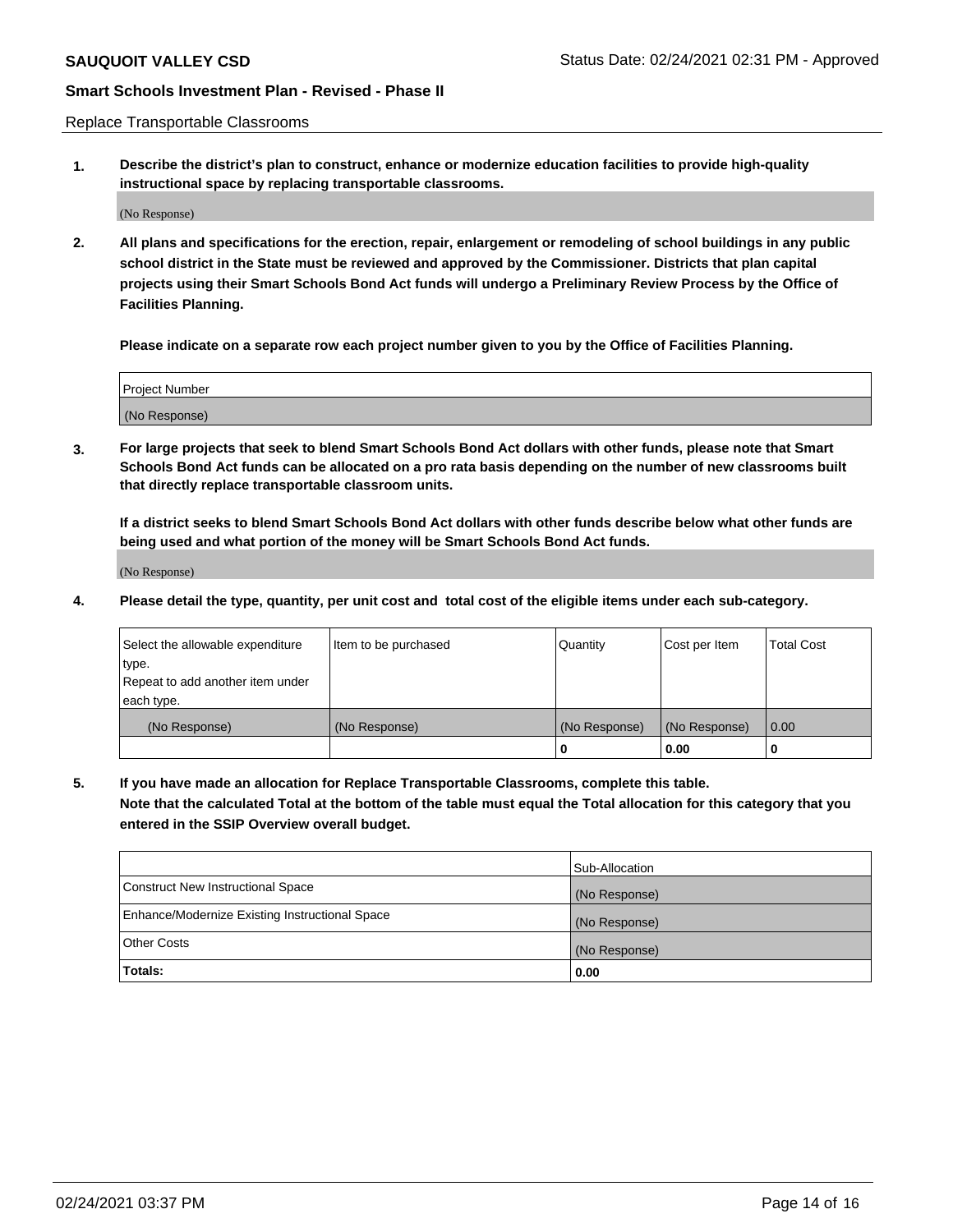Replace Transportable Classrooms

**1. Describe the district's plan to construct, enhance or modernize education facilities to provide high-quality instructional space by replacing transportable classrooms.**

(No Response)

**2. All plans and specifications for the erection, repair, enlargement or remodeling of school buildings in any public school district in the State must be reviewed and approved by the Commissioner. Districts that plan capital projects using their Smart Schools Bond Act funds will undergo a Preliminary Review Process by the Office of Facilities Planning.**

**Please indicate on a separate row each project number given to you by the Office of Facilities Planning.**

| Project Number |  |
|----------------|--|
|                |  |
|                |  |
|                |  |
|                |  |
| (No Response)  |  |
|                |  |
|                |  |
|                |  |

**3. For large projects that seek to blend Smart Schools Bond Act dollars with other funds, please note that Smart Schools Bond Act funds can be allocated on a pro rata basis depending on the number of new classrooms built that directly replace transportable classroom units.**

**If a district seeks to blend Smart Schools Bond Act dollars with other funds describe below what other funds are being used and what portion of the money will be Smart Schools Bond Act funds.**

(No Response)

**4. Please detail the type, quantity, per unit cost and total cost of the eligible items under each sub-category.**

| Select the allowable expenditure | Item to be purchased | Quantity      | Cost per Item | Total Cost |
|----------------------------------|----------------------|---------------|---------------|------------|
| ∣type.                           |                      |               |               |            |
| Repeat to add another item under |                      |               |               |            |
| each type.                       |                      |               |               |            |
| (No Response)                    | (No Response)        | (No Response) | (No Response) | 0.00       |
|                                  |                      | u             | 0.00          |            |

**5. If you have made an allocation for Replace Transportable Classrooms, complete this table. Note that the calculated Total at the bottom of the table must equal the Total allocation for this category that you entered in the SSIP Overview overall budget.**

|                                                | Sub-Allocation |
|------------------------------------------------|----------------|
| Construct New Instructional Space              | (No Response)  |
| Enhance/Modernize Existing Instructional Space | (No Response)  |
| Other Costs                                    | (No Response)  |
| Totals:                                        | 0.00           |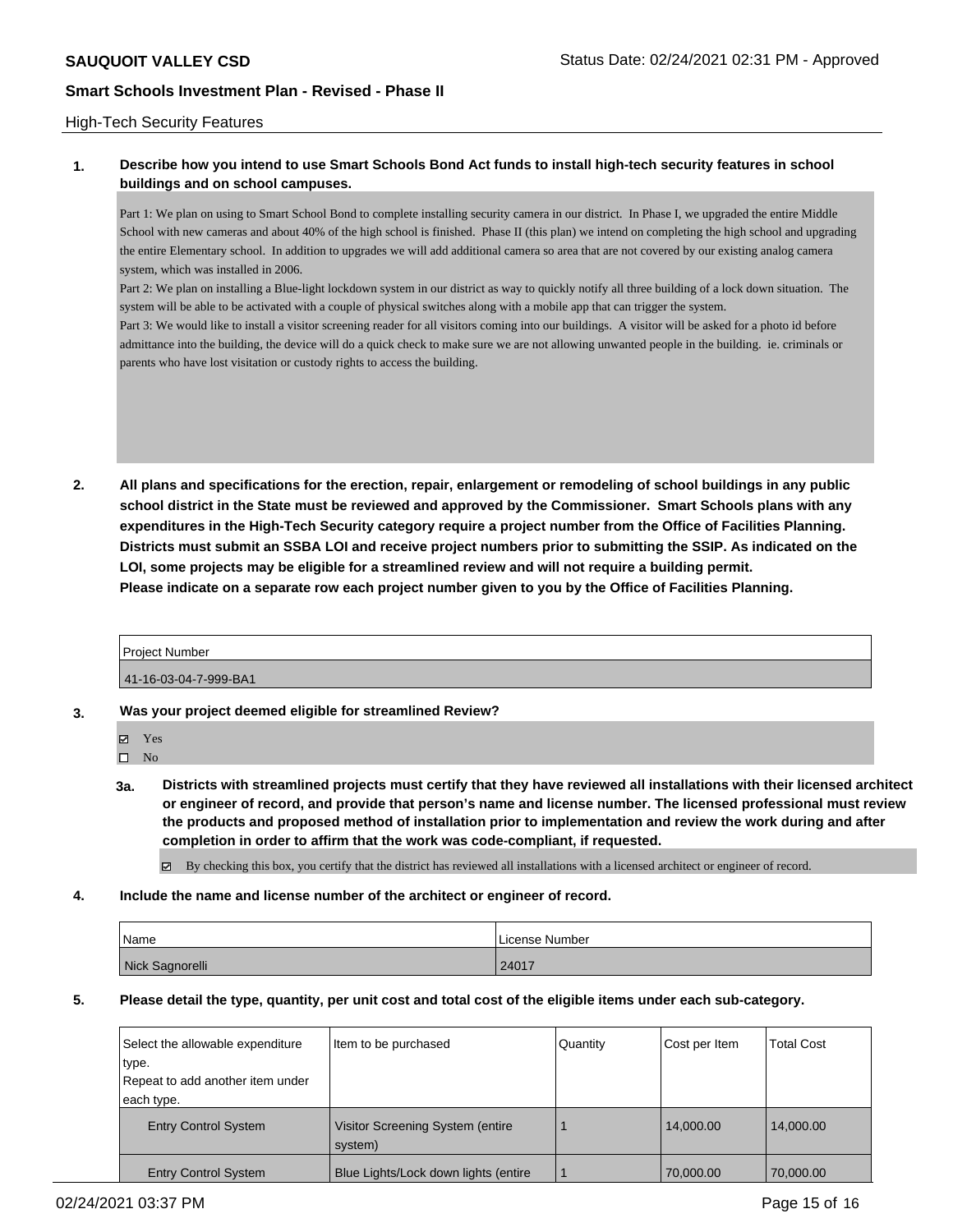### High-Tech Security Features

# **1. Describe how you intend to use Smart Schools Bond Act funds to install high-tech security features in school buildings and on school campuses.**

Part 1: We plan on using to Smart School Bond to complete installing security camera in our district. In Phase I, we upgraded the entire Middle School with new cameras and about 40% of the high school is finished. Phase II (this plan) we intend on completing the high school and upgrading the entire Elementary school. In addition to upgrades we will add additional camera so area that are not covered by our existing analog camera system, which was installed in 2006.

Part 2: We plan on installing a Blue-light lockdown system in our district as way to quickly notify all three building of a lock down situation. The system will be able to be activated with a couple of physical switches along with a mobile app that can trigger the system.

Part 3: We would like to install a visitor screening reader for all visitors coming into our buildings. A visitor will be asked for a photo id before admittance into the building, the device will do a quick check to make sure we are not allowing unwanted people in the building. ie. criminals or parents who have lost visitation or custody rights to access the building.

**2. All plans and specifications for the erection, repair, enlargement or remodeling of school buildings in any public school district in the State must be reviewed and approved by the Commissioner. Smart Schools plans with any expenditures in the High-Tech Security category require a project number from the Office of Facilities Planning. Districts must submit an SSBA LOI and receive project numbers prior to submitting the SSIP. As indicated on the LOI, some projects may be eligible for a streamlined review and will not require a building permit. Please indicate on a separate row each project number given to you by the Office of Facilities Planning.**

| <b>Project Number</b> |  |
|-----------------------|--|
| 41-16-03-04-7-999-BA1 |  |

- **3. Was your project deemed eligible for streamlined Review?**
	- Yes
	- $\square$  No
	- **3a. Districts with streamlined projects must certify that they have reviewed all installations with their licensed architect or engineer of record, and provide that person's name and license number. The licensed professional must review the products and proposed method of installation prior to implementation and review the work during and after completion in order to affirm that the work was code-compliant, if requested.**
		- By checking this box, you certify that the district has reviewed all installations with a licensed architect or engineer of record.
- **4. Include the name and license number of the architect or engineer of record.**

| Name            | License Number |
|-----------------|----------------|
| Nick Sagnorelli | 24017          |

# **5. Please detail the type, quantity, per unit cost and total cost of the eligible items under each sub-category.**

| Select the allowable expenditure<br>type. | Item to be purchased                        | Quantity | Cost per Item | <b>Total Cost</b> |
|-------------------------------------------|---------------------------------------------|----------|---------------|-------------------|
| Repeat to add another item under          |                                             |          |               |                   |
| each type.                                |                                             |          |               |                   |
| <b>Entry Control System</b>               | Visitor Screening System (entire<br>system) |          | 14.000.00     | 14.000.00         |
| <b>Entry Control System</b>               | Blue Lights/Lock down lights (entire        |          | 70,000,00     | 70.000.00         |